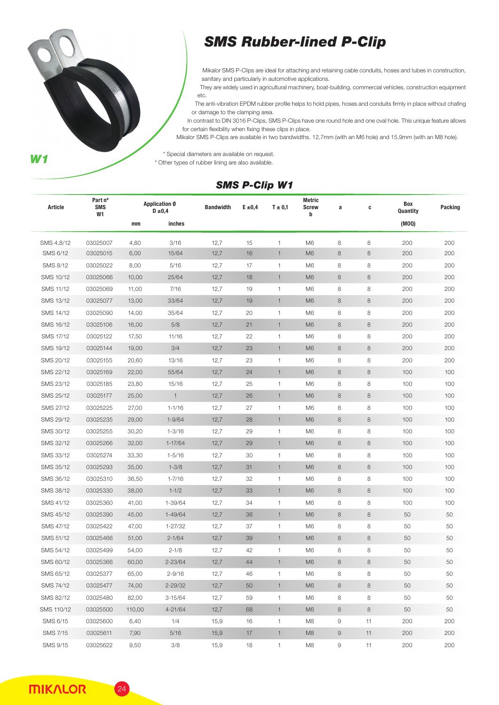

## *SMS Rubber-lined P-Clip*

Mikalor SMS P-Clips are ideal for attaching and retaining cable conduits, hoses and tubes in construction, sanitary and particularly in automotive applications.

They are widely used in agricultural machinery, boat-building, commercial vehicles, construction equipment etc.

The anti-vibration EPDM rubber profile helps to hold pipes, hoses and conduits firmly in place without chafing or damage to the clamping area.

In contrast to DIN 3016 P-Clips, SMS P-Clips have one round hole and one oval hole. This unique feature allows for certain flexibility when fixing these clips in place.

Mikalor SMS P-Clips are available in two bandwidths. 12,7mm (with an M6 hole) and 15,9mm (with an M8 hole).

\* Special diameters are available on request.

\* Other types of rubber lining are also available.

## *SMS P-Clip W1*

| Article         | Part nº<br><b>SMS</b><br>W1 | <b>Application Ø</b><br>$D \pm 0,4$ |              | <b>Bandwidth</b> | $E \pm 0.4$ | $T \pm 0.1$    | <b>Metric</b><br><b>Screw</b><br>b | a | C       | Box<br>Quantity | Packing |
|-----------------|-----------------------------|-------------------------------------|--------------|------------------|-------------|----------------|------------------------------------|---|---------|-----------------|---------|
|                 |                             | mm                                  | inches       |                  |             |                |                                    |   |         | (MOQ)           |         |
| SMS 4,8/12      | 03025007                    | 4,80                                | 3/16         | 12,7             | 15          | 1              | M <sub>6</sub>                     | 8 | $\,8\,$ | 200             | 200     |
| SMS 6/12        | 03025015                    | 6,00                                | 15/64        | 12,7             | 16          | $\mathbf{1}$   | M <sub>6</sub>                     | 8 | $\,8\,$ | 200             | 200     |
| SMS 8/12        | 03025022                    | 8,00                                | 5/16         | 12,7             | 17          | $\mathbf{1}$   | M <sub>6</sub>                     | 8 | 8       | 200             | 200     |
| SMS 10/12       | 03025066                    | 10,00                               | 25/64        | 12,7             | 18          | $\mathbf{1}$   | M <sub>6</sub>                     | 8 | 8       | 200             | 200     |
| SMS 11/12       | 03025069                    | 11,00                               | 7/16         | 12,7             | 19          | $\mathbf{1}$   | M <sub>6</sub>                     | 8 | 8       | 200             | 200     |
| SMS 13/12       | 03025077                    | 13,00                               | 33/64        | 12,7             | 19          | $\mathbf{1}$   | M <sub>6</sub>                     | 8 | 8       | 200             | 200     |
| SMS 14/12       | 03025090                    | 14,00                               | 35/64        | 12,7             | 20          | $\mathbf{1}$   | M <sub>6</sub>                     | 8 | 8       | 200             | 200     |
| SMS 16/12       | 03025106                    | 16,00                               | 5/8          | 12,7             | 21          | $\mathbf{1}$   | M <sub>6</sub>                     | 8 | 8       | 200             | 200     |
| SMS 17/12       | 03025122                    | 17,50                               | 11/16        | 12,7             | 22          | $\mathbf{1}$   | M <sub>6</sub>                     | 8 | 8       | 200             | 200     |
| SMS 19/12       | 03025144                    | 19,00                               | 3/4          | 12,7             | 23          | $\mathbf{1}$   | M <sub>6</sub>                     | 8 | $\,8\,$ | 200             | 200     |
| SMS 20/12       | 03025155                    | 20,60                               | 13/16        | 12,7             | 23          | 1              | M <sub>6</sub>                     | 8 | 8       | 200             | 200     |
| SMS 22/12       | 03025169                    | 22,00                               | 55/64        | 12,7             | 24          | $\mathbf{1}$   | M <sub>6</sub>                     | 8 | $\,8\,$ | 100             | 100     |
| SMS 23/12       | 03025185                    | 23,80                               | 15/16        | 12,7             | 25          | 1              | M <sub>6</sub>                     | 8 | 8       | 100             | 100     |
| SMS 25/12       | 03025177                    | 25,00                               | $\mathbf{1}$ | 12,7             | 26          | $\overline{1}$ | M <sub>6</sub>                     | 8 | $\,8\,$ | 100             | 100     |
| SMS 27/12       | 03025225                    | 27,00                               | $1 - 1/16$   | 12,7             | 27          | 1              | M <sub>6</sub>                     | 8 | 8       | 100             | 100     |
| SMS 29/12       | 03025235                    | 29,00                               | $1 - 9/64$   | 12,7             | 28          | $\mathbf{1}$   | M <sub>6</sub>                     | 8 | $\,8\,$ | 100             | 100     |
| SMS 30/12       | 03025255                    | 30,20                               | $1 - 3/16$   | 12,7             | 29          | $\mathbf{1}$   | M <sub>6</sub>                     | 8 | 8       | 100             | 100     |
| SMS 32/12       | 03025266                    | 32,00                               | 1-17/64      | 12,7             | 29          | $\mathbf{1}$   | M <sub>6</sub>                     | 8 | $\,8\,$ | 100             | 100     |
| SMS 33/12       | 03025274                    | 33,30                               | $1 - 5/16$   | 12,7             | 30          | $\overline{1}$ | M <sub>6</sub>                     | 8 | 8       | 100             | 100     |
| SMS 35/12       | 03025293                    | 35,00                               | $1 - 3/8$    | 12,7             | 31          | $\mathbf{1}$   | M <sub>6</sub>                     | 8 | 8       | 100             | 100     |
| SMS 36/12       | 03025310                    | 36,50                               | $1 - 7/16$   | 12,7             | 32          | $\mathbf{1}$   | M <sub>6</sub>                     | 8 | 8       | 100             | 100     |
| SMS 38/12       | 03025330                    | 38,00                               | $1 - 1/2$    | 12,7             | 33          | $\mathbf{1}$   | M <sub>6</sub>                     | 8 | $\,8\,$ | 100             | 100     |
| SMS 41/12       | 03025360                    | 41,00                               | 1-39/64      | 12,7             | 34          | 1              | M <sub>6</sub>                     | 8 | 8       | 100             | 100     |
| SMS 45/12       | 03025390                    | 45,00                               | $1 - 49/64$  | 12,7             | 36          | $\mathbf{1}$   | M <sub>6</sub>                     | 8 | $\,8\,$ | 50              | 50      |
| SMS 47/12       | 03025422                    | 47,00                               | 1-27/32      | 12,7             | 37          | 1              | M <sub>6</sub>                     | 8 | 8       | 50              | 50      |
| SMS 51/12       | 03025466                    | 51,00                               | $2 - 1/64$   | 12,7             | 39          | $\mathbf{1}$   | M <sub>6</sub>                     | 8 | 8       | 50              | 50      |
| SMS 54/12       | 03025499                    | 54,00                               | $2 - 1/8$    | 12,7             | 42          | 1              | M <sub>6</sub>                     | 8 | 8       | 50              | 50      |
| SMS 60/12       | 03025366                    | 60,00                               | $2 - 23/64$  | 12,7             | 44          | 1              | M <sub>6</sub>                     | 8 | 8       | 50              | 50      |
| SMS 65/12       | 03025377                    | 65,00                               | $2 - 9/16$   | 12,7             | 46          | $\mathbf{1}$   | M <sub>6</sub>                     | 8 | 8       | 50              | 50      |
| SMS 74/12       | 03025477                    | 74,00                               | $2 - 29/32$  | 12,7             | 50          | $\mathbf{1}$   | M6                                 | 8 | $\,8\,$ | 50              | 50      |
| SMS 82/12       | 03025480                    | 82,00                               | $3 - 15/64$  | 12,7             | 59          | $\mathbf{1}$   | M <sub>6</sub>                     | 8 | 8       | 50              | 50      |
| SMS 110/12      | 03025500                    | 110,00                              | $4 - 21/64$  | 12,7             | 68          | $\mathbf{1}$   | M <sub>6</sub>                     | 8 | $\,8\,$ | 50              | 50      |
| SMS 6/15        | 03025600                    | 6,40                                | 1/4          | 15,9             | 16          | $\mathbf{1}$   | M8                                 | 9 | 11      | 200             | 200     |
| <b>SMS 7/15</b> | 03025611                    | 7,90                                | $5/16$       | 15,9             | 17          | $\mathbf{1}$   | M8                                 | 9 | 11      | 200             | 200     |
| SMS 9/15        | 03025622                    | 9,50                                | 3/8          | 15,9             | 18          | 1              | M8                                 | 9 | 11      | 200             | 200     |

**MIKALOR** 

 $\left(24\right)$